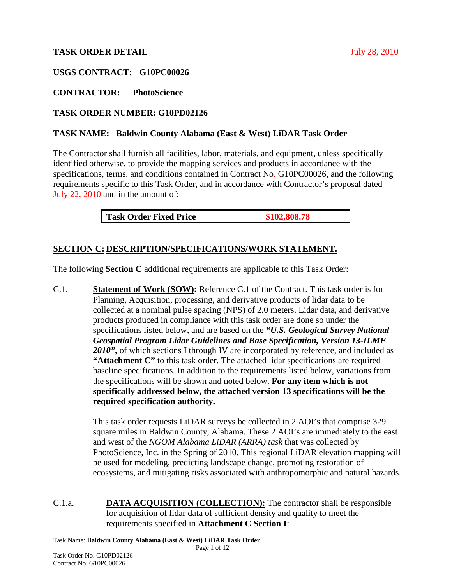# **TASK ORDER DETAIL IVALUATE: IVALUATE: July 28, 2010**

#### **USGS CONTRACT: G10PC00026**

#### **CONTRACTOR: PhotoScience**

#### **TASK ORDER NUMBER: G10PD02126**

#### **TASK NAME: Baldwin County Alabama (East & West) LiDAR Task Order**

The Contractor shall furnish all facilities, labor, materials, and equipment, unless specifically identified otherwise, to provide the mapping services and products in accordance with the specifications, terms, and conditions contained in Contract No. G10PC00026, and the following requirements specific to this Task Order, and in accordance with Contractor's proposal dated July 22, 2010 and in the amount of:

| <b>Task Order Fixed Price</b> | \$102,808.78 |
|-------------------------------|--------------|
|-------------------------------|--------------|

#### **SECTION C: DESCRIPTION/SPECIFICATIONS/WORK STATEMENT.**

The following **Section C** additional requirements are applicable to this Task Order:

C.1. **Statement of Work (SOW):** Reference C.1 of the Contract. This task order is for Planning, Acquisition, processing, and derivative products of lidar data to be collected at a nominal pulse spacing (NPS) of 2.0 meters. Lidar data, and derivative products produced in compliance with this task order are done so under the specifications listed below, and are based on the *"U.S. Geological Survey National Geospatial Program Lidar Guidelines and Base Specification, Version 13-ILMF*  2010", of which sections I through IV are incorporated by reference, and included as **"Attachment C"** to this task order. The attached lidar specifications are required baseline specifications. In addition to the requirements listed below, variations from the specifications will be shown and noted below. **For any item which is not specifically addressed below, the attached version 13 specifications will be the required specification authority.**

> This task order requests LiDAR surveys be collected in 2 AOI's that comprise 329 square miles in Baldwin County, Alabama. These 2 AOI's are immediately to the east and west of the *NGOM Alabama LiDAR (ARRA) task* that was collected by PhotoScience, Inc. in the Spring of 2010. This regional LiDAR elevation mapping will be used for modeling, predicting landscape change, promoting restoration of ecosystems, and mitigating risks associated with anthropomorphic and natural hazards.

C.1.a. **DATA ACQUISITION (COLLECTION):** The contractor shall be responsible for acquisition of lidar data of sufficient density and quality to meet the requirements specified in **Attachment C Section I**:

Task Name: **Baldwin County Alabama (East & West) LiDAR Task Order**

Page 1 of 12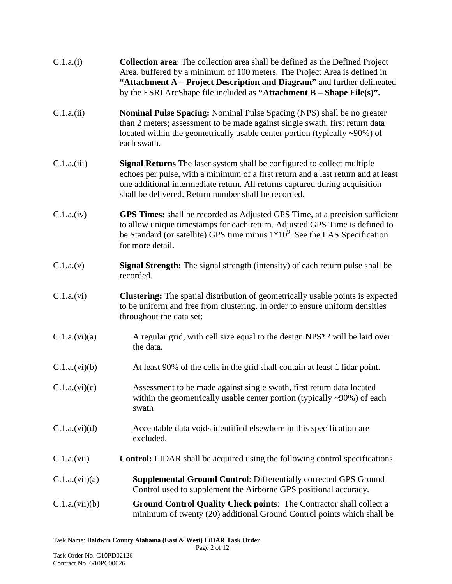| C.1.a.(i)      | <b>Collection area:</b> The collection area shall be defined as the Defined Project<br>Area, buffered by a minimum of 100 meters. The Project Area is defined in<br>"Attachment A - Project Description and Diagram" and further delineated<br>by the ESRI ArcShape file included as "Attachment $B -$ Shape File(s)". |
|----------------|------------------------------------------------------------------------------------------------------------------------------------------------------------------------------------------------------------------------------------------------------------------------------------------------------------------------|
| C.1.a.(ii)     | Nominal Pulse Spacing: Nominal Pulse Spacing (NPS) shall be no greater<br>than 2 meters; assessment to be made against single swath, first return data<br>located within the geometrically usable center portion (typically ~90%) of<br>each swath.                                                                    |
| C.1.a.(iii)    | <b>Signal Returns</b> The laser system shall be configured to collect multiple<br>echoes per pulse, with a minimum of a first return and a last return and at least<br>one additional intermediate return. All returns captured during acquisition<br>shall be delivered. Return number shall be recorded.             |
| C.1.a.(iv)     | GPS Times: shall be recorded as Adjusted GPS Time, at a precision sufficient<br>to allow unique timestamps for each return. Adjusted GPS Time is defined to<br>be Standard (or satellite) GPS time minus $1*109$ . See the LAS Specification<br>for more detail.                                                       |
| C.1.a.(v)      | Signal Strength: The signal strength (intensity) of each return pulse shall be<br>recorded.                                                                                                                                                                                                                            |
| C.1.a.(vi)     | <b>Clustering:</b> The spatial distribution of geometrically usable points is expected<br>to be uniform and free from clustering. In order to ensure uniform densities<br>throughout the data set:                                                                                                                     |
| C.1.a.(vi)(a)  | A regular grid, with cell size equal to the design NPS*2 will be laid over<br>the data.                                                                                                                                                                                                                                |
| C.1.a.(vi)(b)  | At least 90% of the cells in the grid shall contain at least 1 lidar point.                                                                                                                                                                                                                                            |
| C.1.a.(vi)(c)  | Assessment to be made against single swath, first return data located<br>within the geometrically usable center portion (typically ~90%) of each<br>swath                                                                                                                                                              |
| C.1.a.(vi)(d)  | Acceptable data voids identified elsewhere in this specification are<br>excluded.                                                                                                                                                                                                                                      |
| C.1.a.(vii)    | <b>Control:</b> LIDAR shall be acquired using the following control specifications.                                                                                                                                                                                                                                    |
| C.1.a.(vii)(a) | <b>Supplemental Ground Control: Differentially corrected GPS Ground</b><br>Control used to supplement the Airborne GPS positional accuracy.                                                                                                                                                                            |
| C.1.a.(vii)(b) | Ground Control Quality Check points: The Contractor shall collect a<br>minimum of twenty (20) additional Ground Control points which shall be                                                                                                                                                                          |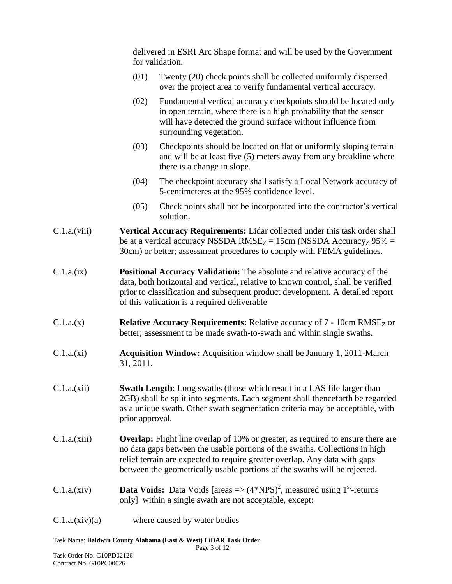delivered in ESRI Arc Shape format and will be used by the Government for validation.

- (01) Twenty (20) check points shall be collected uniformly dispersed over the project area to verify fundamental vertical accuracy.
- (02) Fundamental vertical accuracy checkpoints should be located only in open terrain, where there is a high probability that the sensor will have detected the ground surface without influence from surrounding vegetation.
- (03) Checkpoints should be located on flat or uniformly sloping terrain and will be at least five (5) meters away from any breakline where there is a change in slope.
- (04) The checkpoint accuracy shall satisfy a Local Network accuracy of 5-centimeteres at the 95% confidence level.
- (05) Check points shall not be incorporated into the contractor's vertical solution.
- C.1.a.(viii) **Vertical Accuracy Requirements:** Lidar collected under this task order shall be at a vertical accuracy NSSDA RMSE $_Z$  = 15cm (NSSDA Accuracy<sub>Z</sub> 95% = 30cm) or better; assessment procedures to comply with FEMA guidelines.
- C.1.a.(ix) **Positional Accuracy Validation:** The absolute and relative accuracy of the data, both horizontal and vertical, relative to known control, shall be verified prior to classification and subsequent product development. A detailed report of this validation is a required deliverable
- C.1.a.(x) **Relative Accuracy Requirements:** Relative accuracy of 7 10cm RMSE<sub>Z</sub> or better; assessment to be made swath-to-swath and within single swaths.
- C.1.a.(xi) **Acquisition Window:** Acquisition window shall be January 1, 2011-March 31, 2011.
- C.1.a.(xii) **Swath Length**: Long swaths (those which result in a LAS file larger than 2GB) shall be split into segments. Each segment shall thenceforth be regarded as a unique swath. Other swath segmentation criteria may be acceptable, with prior approval.
- C.1.a.(xiii) **Overlap:** Flight line overlap of 10% or greater, as required to ensure there are no data gaps between the usable portions of the swaths. Collections in high relief terrain are expected to require greater overlap. Any data with gaps between the geometrically usable portions of the swaths will be rejected.
- C.1.a.(xiv) **Data Voids:** Data Voids [areas  $\Rightarrow$  (4\*NPS)<sup>2</sup>, measured using 1<sup>st</sup>-returns only] within a single swath are not acceptable, except:

Page 3 of 12

C.1.a.(xiv)(a) where caused by water bodies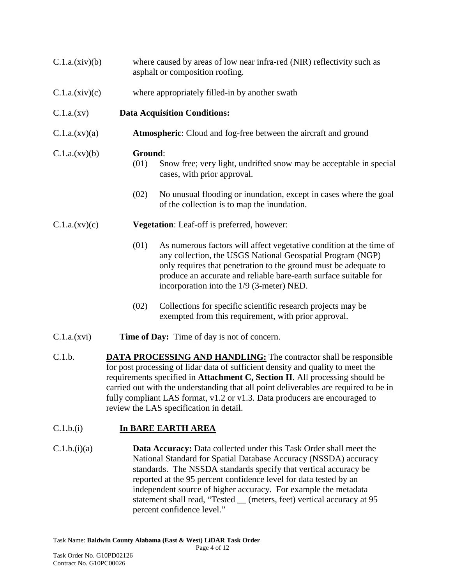- C.1.a.(xiv)(b) where caused by areas of low near infra-red (NIR) reflectivity such as asphalt or composition roofing.
- C.1.a.(xiv)(c) where appropriately filled-in by another swath
- C.1.a.(xv) **Data Acquisition Conditions:**
- C.1.a.(xv)(a) **Atmospheric**: Cloud and fog-free between the aircraft and ground

#### C.1.a.(xv)(b) **Ground**:

- (01) Snow free; very light, undrifted snow may be acceptable in special cases, with prior approval.
- (02) No unusual flooding or inundation, except in cases where the goal of the collection is to map the inundation.
- C.1.a.(xv)(c) **Vegetation**: Leaf-off is preferred, however:
	- (01) As numerous factors will affect vegetative condition at the time of any collection, the USGS National Geospatial Program (NGP) only requires that penetration to the ground must be adequate to produce an accurate and reliable bare-earth surface suitable for incorporation into the 1/9 (3-meter) NED.
	- (02) Collections for specific scientific research projects may be exempted from this requirement, with prior approval.
- C.1.a.(xvi) **Time of Day:** Time of day is not of concern.
- C.1.b. **DATA PROCESSING AND HANDLING:** The contractor shall be responsible for post processing of lidar data of sufficient density and quality to meet the requirements specified in **Attachment C, Section II**. All processing should be carried out with the understanding that all point deliverables are required to be in fully compliant LAS format, v1.2 or v1.3. Data producers are encouraged to review the LAS specification in detail.

## C.1.b.(i) **In BARE EARTH AREA**

C.1.b.(i)(a) **Data Accuracy:** Data collected under this Task Order shall meet the National Standard for Spatial Database Accuracy (NSSDA) accuracy standards. The NSSDA standards specify that vertical accuracy be reported at the 95 percent confidence level for data tested by an independent source of higher accuracy. For example the metadata statement shall read, "Tested (meters, feet) vertical accuracy at 95 percent confidence level."

Task Name: **Baldwin County Alabama (East & West) LiDAR Task Order**

Page 4 of 12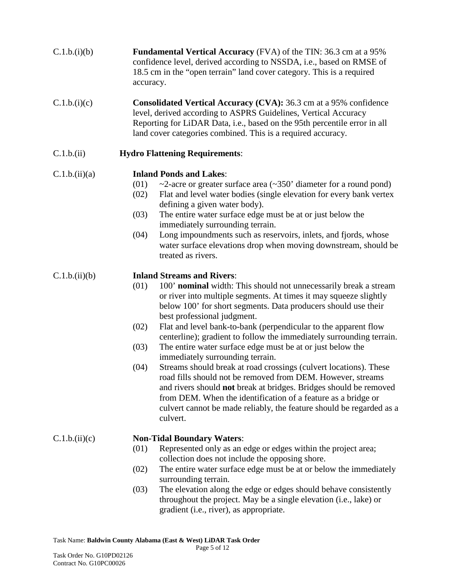| C.1.b.(i)(b)  | <b>Fundamental Vertical Accuracy</b> (FVA) of the TIN: 36.3 cm at a 95%<br>confidence level, derived according to NSSDA, i.e., based on RMSE of<br>18.5 cm in the "open terrain" land cover category. This is a required<br>accuracy.                                                                                                                                                                                                                                                                                                                                                                                                                                                                                                                                                                                                                                                                                         |  |  |
|---------------|-------------------------------------------------------------------------------------------------------------------------------------------------------------------------------------------------------------------------------------------------------------------------------------------------------------------------------------------------------------------------------------------------------------------------------------------------------------------------------------------------------------------------------------------------------------------------------------------------------------------------------------------------------------------------------------------------------------------------------------------------------------------------------------------------------------------------------------------------------------------------------------------------------------------------------|--|--|
| C.1.b.(i)(c)  | <b>Consolidated Vertical Accuracy (CVA):</b> 36.3 cm at a 95% confidence<br>level, derived according to ASPRS Guidelines, Vertical Accuracy<br>Reporting for LiDAR Data, i.e., based on the 95th percentile error in all<br>land cover categories combined. This is a required accuracy.                                                                                                                                                                                                                                                                                                                                                                                                                                                                                                                                                                                                                                      |  |  |
| C.1.b.(ii)    | <b>Hydro Flattening Requirements:</b>                                                                                                                                                                                                                                                                                                                                                                                                                                                                                                                                                                                                                                                                                                                                                                                                                                                                                         |  |  |
| C.1.b.(ii)(a) | <b>Inland Ponds and Lakes:</b><br>$\sim$ 2-acre or greater surface area ( $\sim$ 350' diameter for a round pond)<br>(01)<br>Flat and level water bodies (single elevation for every bank vertex<br>(02)<br>defining a given water body).<br>The entire water surface edge must be at or just below the<br>(03)<br>immediately surrounding terrain.<br>(04)<br>Long impoundments such as reservoirs, inlets, and fjords, whose<br>water surface elevations drop when moving downstream, should be<br>treated as rivers.                                                                                                                                                                                                                                                                                                                                                                                                        |  |  |
| C.1.b.(ii)(b) | <b>Inland Streams and Rivers:</b><br>(01)<br>100' nominal width: This should not unnecessarily break a stream<br>or river into multiple segments. At times it may squeeze slightly<br>below 100' for short segments. Data producers should use their<br>best professional judgment.<br>Flat and level bank-to-bank (perpendicular to the apparent flow<br>(02)<br>centerline); gradient to follow the immediately surrounding terrain.<br>(03)<br>The entire water surface edge must be at or just below the<br>immediately surrounding terrain.<br>(04)<br>Streams should break at road crossings (culvert locations). These<br>road fills should not be removed from DEM. However, streams<br>and rivers should <b>not</b> break at bridges. Bridges should be removed<br>from DEM. When the identification of a feature as a bridge or<br>culvert cannot be made reliably, the feature should be regarded as a<br>culvert. |  |  |
| C.1.b.(ii)(c) | <b>Non-Tidal Boundary Waters:</b><br>Represented only as an edge or edges within the project area;<br>(01)<br>collection does not include the opposing shore.<br>(02)<br>The entire water surface edge must be at or below the immediately<br>surrounding terrain.<br>The elevation along the edge or edges should behave consistently<br>(03)<br>throughout the project. May be a single elevation (i.e., lake) or<br>gradient (i.e., river), as appropriate.                                                                                                                                                                                                                                                                                                                                                                                                                                                                |  |  |

Task Order No. G10PD02126 Contract No. G10PC00026

Page 5 of 12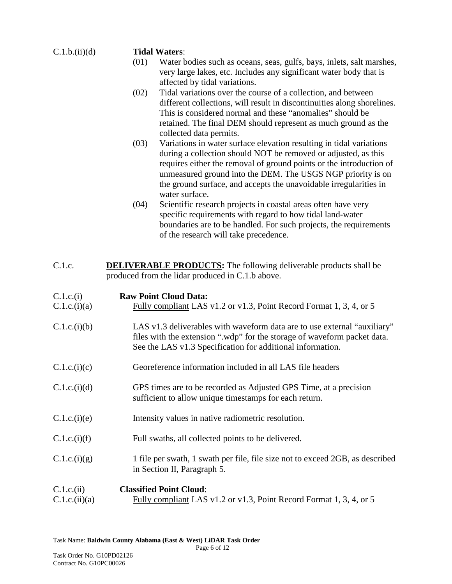| C.1.b.(ii)(d)               | <b>Tidal Waters:</b>                                                                                                                                                                                                                                                                                                                                                       |  |  |
|-----------------------------|----------------------------------------------------------------------------------------------------------------------------------------------------------------------------------------------------------------------------------------------------------------------------------------------------------------------------------------------------------------------------|--|--|
|                             | (01)<br>Water bodies such as oceans, seas, gulfs, bays, inlets, salt marshes,<br>very large lakes, etc. Includes any significant water body that is<br>affected by tidal variations.                                                                                                                                                                                       |  |  |
|                             | Tidal variations over the course of a collection, and between<br>(02)<br>different collections, will result in discontinuities along shorelines.<br>This is considered normal and these "anomalies" should be<br>retained. The final DEM should represent as much ground as the<br>collected data permits.                                                                 |  |  |
|                             | (03)<br>Variations in water surface elevation resulting in tidal variations<br>during a collection should NOT be removed or adjusted, as this<br>requires either the removal of ground points or the introduction of<br>unmeasured ground into the DEM. The USGS NGP priority is on<br>the ground surface, and accepts the unavoidable irregularities in<br>water surface. |  |  |
|                             | Scientific research projects in coastal areas often have very<br>(04)<br>specific requirements with regard to how tidal land-water<br>boundaries are to be handled. For such projects, the requirements<br>of the research will take precedence.                                                                                                                           |  |  |
| C.1.c.                      | <b>DELIVERABLE PRODUCTS:</b> The following deliverable products shall be<br>produced from the lidar produced in C.1.b above.                                                                                                                                                                                                                                               |  |  |
| C.1.c.(i)<br>C.1.c.(i)(a)   | <b>Raw Point Cloud Data:</b><br>Fully compliant LAS v1.2 or v1.3, Point Record Format 1, 3, 4, or 5                                                                                                                                                                                                                                                                        |  |  |
| C.1.c.(i)(b)                | LAS v1.3 deliverables with waveform data are to use external "auxiliary"<br>files with the extension ".wdp" for the storage of waveform packet data.<br>See the LAS v1.3 Specification for additional information.                                                                                                                                                         |  |  |
| C.1.c.(i)(c)                | Georeference information included in all LAS file headers                                                                                                                                                                                                                                                                                                                  |  |  |
| C.1.c.(i)(d)                | GPS times are to be recorded as Adjusted GPS Time, at a precision<br>sufficient to allow unique timestamps for each return.                                                                                                                                                                                                                                                |  |  |
| C.1.c.(i)(e)                | Intensity values in native radiometric resolution.                                                                                                                                                                                                                                                                                                                         |  |  |
| C.1.c.(i)(f)                | Full swaths, all collected points to be delivered.                                                                                                                                                                                                                                                                                                                         |  |  |
| C.1.c.(i)(g)                | 1 file per swath, 1 swath per file, file size not to exceed 2GB, as described<br>in Section II, Paragraph 5.                                                                                                                                                                                                                                                               |  |  |
| C.1.c.(ii)<br>C.1.c.(ii)(a) | <b>Classified Point Cloud:</b><br>Fully compliant LAS v1.2 or v1.3, Point Record Format 1, 3, 4, or 5                                                                                                                                                                                                                                                                      |  |  |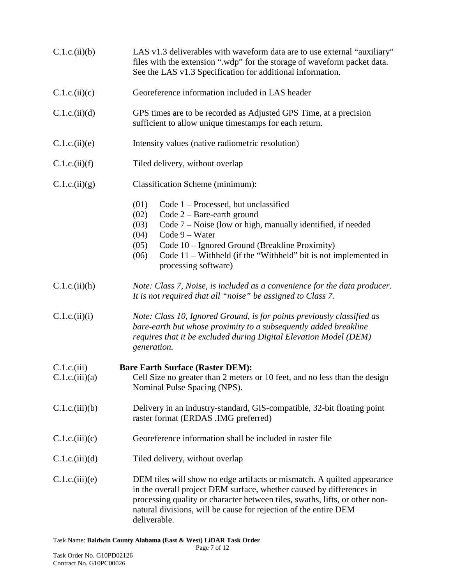| C.1.c.(ii)(b)                 | LAS v1.3 deliverables with waveform data are to use external "auxiliary"<br>files with the extension ".wdp" for the storage of waveform packet data.<br>See the LAS v1.3 Specification for additional information.                                                                                                                                        |  |  |
|-------------------------------|-----------------------------------------------------------------------------------------------------------------------------------------------------------------------------------------------------------------------------------------------------------------------------------------------------------------------------------------------------------|--|--|
| C.1.c.(ii)(c)                 | Georeference information included in LAS header                                                                                                                                                                                                                                                                                                           |  |  |
| C.1.c.(ii)(d)                 | GPS times are to be recorded as Adjusted GPS Time, at a precision<br>sufficient to allow unique timestamps for each return.                                                                                                                                                                                                                               |  |  |
| C.1.c.(ii)(e)                 | Intensity values (native radiometric resolution)                                                                                                                                                                                                                                                                                                          |  |  |
| C.1.c.(ii)(f)                 | Tiled delivery, without overlap                                                                                                                                                                                                                                                                                                                           |  |  |
| C.1.c.(ii)(g)                 | Classification Scheme (minimum):                                                                                                                                                                                                                                                                                                                          |  |  |
|                               | (01)<br>Code $1$ – Processed, but unclassified<br>(02)<br>Code $2 - B$ are-earth ground<br>Code 7 – Noise (low or high, manually identified, if needed<br>(03)<br>(04)<br>$Code 9 - Water$<br>Code 10 – Ignored Ground (Breakline Proximity)<br>(05)<br>Code $11 - Withheld$ (if the "Withheld" bit is not implemented in<br>(06)<br>processing software) |  |  |
| C.1.c.(ii)(h)                 | Note: Class 7, Noise, is included as a convenience for the data producer.<br>It is not required that all "noise" be assigned to Class 7.                                                                                                                                                                                                                  |  |  |
| C.1.c.(ii)(i)                 | Note: Class 10, Ignored Ground, is for points previously classified as<br>bare-earth but whose proximity to a subsequently added breakline<br>requires that it be excluded during Digital Elevation Model (DEM)<br>generation.                                                                                                                            |  |  |
| C.1.c.(iii)<br>C.1.c.(iii)(a) | <b>Bare Earth Surface (Raster DEM):</b><br>Cell Size no greater than 2 meters or 10 feet, and no less than the design<br>Nominal Pulse Spacing (NPS).                                                                                                                                                                                                     |  |  |
| C.1.c.(iii)(b)                | Delivery in an industry-standard, GIS-compatible, 32-bit floating point<br>raster format (ERDAS .IMG preferred)                                                                                                                                                                                                                                           |  |  |
| C.1.c.(iii)(c)                | Georeference information shall be included in raster file                                                                                                                                                                                                                                                                                                 |  |  |
| C.1.c.(iii)(d)                | Tiled delivery, without overlap                                                                                                                                                                                                                                                                                                                           |  |  |
| C.1.c.(iii)(e)                | DEM tiles will show no edge artifacts or mismatch. A quilted appearance<br>in the overall project DEM surface, whether caused by differences in<br>processing quality or character between tiles, swaths, lifts, or other non-<br>natural divisions, will be cause for rejection of the entire DEM<br>deliverable.                                        |  |  |

Page 7 of 12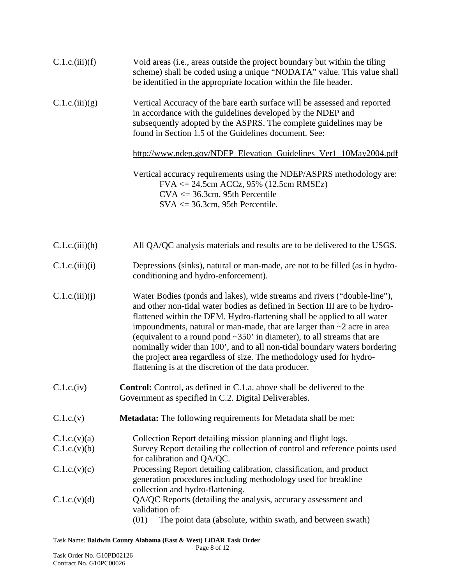| C.1.c.(iii)(f)               | Void areas ( <i>i.e.</i> , areas outside the project boundary but within the tiling<br>scheme) shall be coded using a unique "NODATA" value. This value shall<br>be identified in the appropriate location within the file header.                                                                                                                                                                                                                                                                                                                                                                                  |
|------------------------------|---------------------------------------------------------------------------------------------------------------------------------------------------------------------------------------------------------------------------------------------------------------------------------------------------------------------------------------------------------------------------------------------------------------------------------------------------------------------------------------------------------------------------------------------------------------------------------------------------------------------|
| C.1.c.(iii)(g)               | Vertical Accuracy of the bare earth surface will be assessed and reported<br>in accordance with the guidelines developed by the NDEP and<br>subsequently adopted by the ASPRS. The complete guidelines may be<br>found in Section 1.5 of the Guidelines document. See:                                                                                                                                                                                                                                                                                                                                              |
|                              | http://www.ndep.gov/NDEP_Elevation_Guidelines_Ver1_10May2004.pdf                                                                                                                                                                                                                                                                                                                                                                                                                                                                                                                                                    |
|                              | Vertical accuracy requirements using the NDEP/ASPRS methodology are:<br>$FVA \le 24.5$ cm ACCz, 95% (12.5cm RMSEz)<br>$CVA \le 36.3cm$ , 95th Percentile<br>$SVA \le 36.3cm$ , 95th Percentile.                                                                                                                                                                                                                                                                                                                                                                                                                     |
| C.1.c.(iii)(h)               | All QA/QC analysis materials and results are to be delivered to the USGS.                                                                                                                                                                                                                                                                                                                                                                                                                                                                                                                                           |
| C.1.c.(iii)(i)               | Depressions (sinks), natural or man-made, are not to be filled (as in hydro-<br>conditioning and hydro-enforcement).                                                                                                                                                                                                                                                                                                                                                                                                                                                                                                |
| C.1.c.(iii)(j)               | Water Bodies (ponds and lakes), wide streams and rivers ("double-line"),<br>and other non-tidal water bodies as defined in Section III are to be hydro-<br>flattened within the DEM. Hydro-flattening shall be applied to all water<br>impoundments, natural or man-made, that are larger than $\sim$ 2 acre in area<br>(equivalent to a round pond $\sim$ 350' in diameter), to all streams that are<br>nominally wider than 100', and to all non-tidal boundary waters bordering<br>the project area regardless of size. The methodology used for hydro-<br>flattening is at the discretion of the data producer. |
| C.1.c.(iv)                   | <b>Control:</b> Control, as defined in C.1.a. above shall be delivered to the<br>Government as specified in C.2. Digital Deliverables.                                                                                                                                                                                                                                                                                                                                                                                                                                                                              |
| C.1.c.(v)                    | <b>Metadata:</b> The following requirements for Metadata shall be met:                                                                                                                                                                                                                                                                                                                                                                                                                                                                                                                                              |
| C.1.c.(v)(a)<br>C.1.c.(v)(b) | Collection Report detailing mission planning and flight logs.<br>Survey Report detailing the collection of control and reference points used<br>for calibration and QA/QC.                                                                                                                                                                                                                                                                                                                                                                                                                                          |
| C.1.c.(v)(c)                 | Processing Report detailing calibration, classification, and product<br>generation procedures including methodology used for breakline<br>collection and hydro-flattening.                                                                                                                                                                                                                                                                                                                                                                                                                                          |
| C.1.c.(v)(d)                 | QA/QC Reports (detailing the analysis, accuracy assessment and<br>validation of:<br>(01)<br>The point data (absolute, within swath, and between swath)                                                                                                                                                                                                                                                                                                                                                                                                                                                              |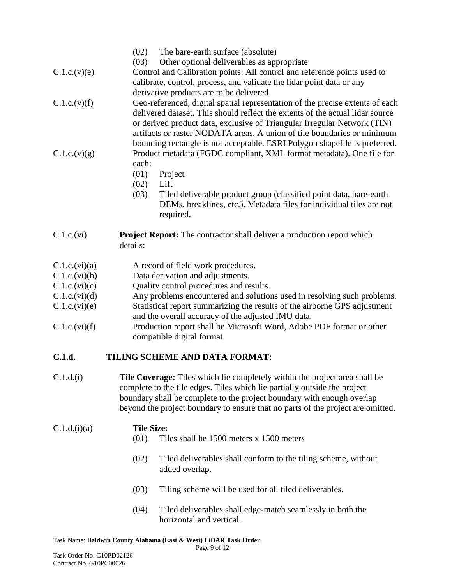|               | (02)                                                                          | The bare-earth surface (absolute)                                                 |  |
|---------------|-------------------------------------------------------------------------------|-----------------------------------------------------------------------------------|--|
|               | (03)                                                                          | Other optional deliverables as appropriate                                        |  |
| C.1.c.(v)(e)  | Control and Calibration points: All control and reference points used to      |                                                                                   |  |
|               | calibrate, control, process, and validate the lidar point data or any         |                                                                                   |  |
|               |                                                                               | derivative products are to be delivered.                                          |  |
| C.1.c.(v)(f)  | Geo-referenced, digital spatial representation of the precise extents of each |                                                                                   |  |
|               | delivered dataset. This should reflect the extents of the actual lidar source |                                                                                   |  |
|               |                                                                               | or derived product data, exclusive of Triangular Irregular Network (TIN)          |  |
|               |                                                                               | artifacts or raster NODATA areas. A union of tile boundaries or minimum           |  |
|               |                                                                               | bounding rectangle is not acceptable. ESRI Polygon shapefile is preferred.        |  |
| C.1.c.(v)(g)  |                                                                               | Product metadata (FGDC compliant, XML format metadata). One file for              |  |
|               | each:                                                                         |                                                                                   |  |
|               | (01)                                                                          | Project                                                                           |  |
|               | (02)                                                                          | Lift                                                                              |  |
|               | (03)                                                                          | Tiled deliverable product group (classified point data, bare-earth                |  |
|               |                                                                               | DEMs, breaklines, etc.). Metadata files for individual tiles are not              |  |
|               |                                                                               | required.                                                                         |  |
|               |                                                                               |                                                                                   |  |
| C.1.c.(vi)    |                                                                               | <b>Project Report:</b> The contractor shall deliver a production report which     |  |
|               | details:                                                                      |                                                                                   |  |
|               |                                                                               |                                                                                   |  |
| C.1.c.(vi)(a) |                                                                               | A record of field work procedures.                                                |  |
| C.1.c.(vi)(b) | Data derivation and adjustments.                                              |                                                                                   |  |
| C.1.c.(vi)(c) | Quality control procedures and results.                                       |                                                                                   |  |
| C.1.c.(vi)(d) | Any problems encountered and solutions used in resolving such problems.       |                                                                                   |  |
| C.1.c.(vi)(e) | Statistical report summarizing the results of the airborne GPS adjustment     |                                                                                   |  |
|               | and the overall accuracy of the adjusted IMU data.                            |                                                                                   |  |
| C.1.c.(vi)(f) |                                                                               | Production report shall be Microsoft Word, Adobe PDF format or other              |  |
|               |                                                                               | compatible digital format.                                                        |  |
| C.1.d.        |                                                                               | TILING SCHEME AND DATA FORMAT:                                                    |  |
|               |                                                                               |                                                                                   |  |
| C.1.d.(i)     |                                                                               | <b>Tile Coverage:</b> Tiles which lie completely within the project area shall be |  |
|               | complete to the tile edges. Tiles which lie partially outside the project     |                                                                                   |  |
|               | boundary shall be complete to the project boundary with enough overlap        |                                                                                   |  |
|               |                                                                               | beyond the project boundary to ensure that no parts of the project are omitted.   |  |
|               |                                                                               |                                                                                   |  |
| C.1.d.(i)(a)  | <b>Tile Size:</b>                                                             |                                                                                   |  |
|               | (01)                                                                          | Tiles shall be 1500 meters x 1500 meters                                          |  |
|               |                                                                               |                                                                                   |  |
|               | (02)                                                                          | Tiled deliverables shall conform to the tiling scheme, without                    |  |
|               |                                                                               | added overlap.                                                                    |  |
|               |                                                                               |                                                                                   |  |
|               | (03)                                                                          | Tiling scheme will be used for all tiled deliverables.                            |  |
|               | (04)                                                                          | Tiled deliverables shall edge-match seamlessly in both the                        |  |
|               |                                                                               | horizontal and vertical.                                                          |  |
|               |                                                                               |                                                                                   |  |
|               |                                                                               |                                                                                   |  |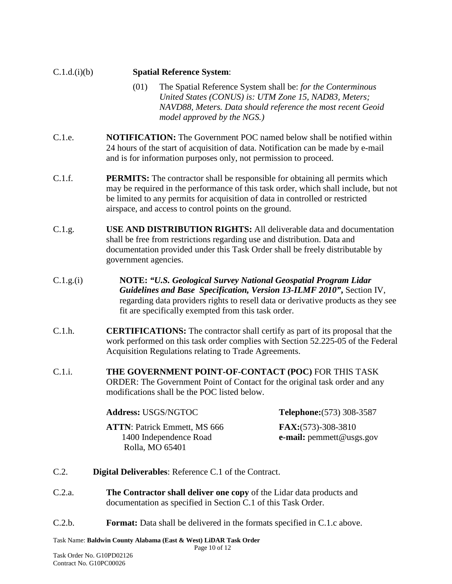# C.1.d.(i)(b) **Spatial Reference System**: (01) The Spatial Reference System shall be: *for the Conterminous United States (CONUS) is: UTM Zone 15, NAD83, Meters; NAVD88, Meters. Data should reference the most recent Geoid model approved by the NGS.)*

- C.1.e. **NOTIFICATION:** The Government POC named below shall be notified within 24 hours of the start of acquisition of data. Notification can be made by e-mail and is for information purposes only, not permission to proceed.
- C.1.f. **PERMITS:** The contractor shall be responsible for obtaining all permits which may be required in the performance of this task order, which shall include, but not be limited to any permits for acquisition of data in controlled or restricted airspace, and access to control points on the ground.
- C.1.g. **USE AND DISTRIBUTION RIGHTS:** All deliverable data and documentation shall be free from restrictions regarding use and distribution. Data and documentation provided under this Task Order shall be freely distributable by government agencies.
- C.1.g.(i) **NOTE:** *"U.S. Geological Survey National Geospatial Program Lidar Guidelines and Base Specification, Version 13-ILMF 2010"***,** Section IV, regarding data providers rights to resell data or derivative products as they see fit are specifically exempted from this task order.
- C.1.h. **CERTIFICATIONS:** The contractor shall certify as part of its proposal that the work performed on this task order complies with Section 52.225-05 of the Federal Acquisition Regulations relating to Trade Agreements.
- C.1.i. **THE GOVERNMENT POINT-OF-CONTACT (POC)** FOR THIS TASK ORDER: The Government Point of Contact for the original task order and any modifications shall be the POC listed below.

| <b>Address: USGS/NGTOC</b>                                                       | <b>Telephone:</b> (573) 308-3587                    |
|----------------------------------------------------------------------------------|-----------------------------------------------------|
| <b>ATTN:</b> Patrick Emmett, MS 666<br>1400 Independence Road<br>Rolla, MO 65401 | $FAX:(573)-308-3810$<br>e-mail: $p$ emmett@usgs.gov |

- C.2. **Digital Deliverables**: Reference C.1 of the Contract.
- C.2.a. **The Contractor shall deliver one copy** of the Lidar data products and documentation as specified in Section C.1 of this Task Order.
- C.2.b. **Format:** Data shall be delivered in the formats specified in C.1.c above.

Task Name: **Baldwin County Alabama (East & West) LiDAR Task Order**

Page 10 of 12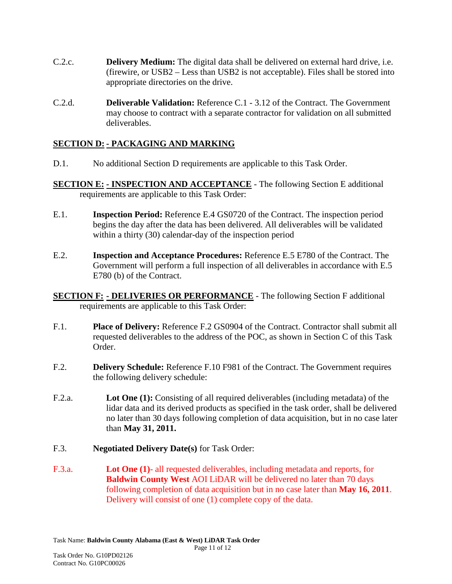- C.2.c. **Delivery Medium:** The digital data shall be delivered on external hard drive, i.e. (firewire, or USB2 – Less than USB2 is not acceptable). Files shall be stored into appropriate directories on the drive.
- C.2.d. **Deliverable Validation:** Reference C.1 3.12 of the Contract. The Government may choose to contract with a separate contractor for validation on all submitted deliverables.

#### **SECTION D: - PACKAGING AND MARKING**

- D.1. No additional Section D requirements are applicable to this Task Order.
- **SECTION E: - INSPECTION AND ACCEPTANCE** The following Section E additional requirements are applicable to this Task Order:
- E.1. **Inspection Period:** Reference E.4 GS0720 of the Contract. The inspection period begins the day after the data has been delivered. All deliverables will be validated within a thirty (30) calendar-day of the inspection period
- E.2. **Inspection and Acceptance Procedures:** Reference E.5 E780 of the Contract. The Government will perform a full inspection of all deliverables in accordance with E.5 E780 (b) of the Contract.
- **SECTION F: - DELIVERIES OR PERFORMANCE** The following Section F additional requirements are applicable to this Task Order:
- F.1. **Place of Delivery:** Reference F.2 GS0904 of the Contract. Contractor shall submit all requested deliverables to the address of the POC, as shown in Section C of this Task Order.
- F.2. **Delivery Schedule:** Reference F.10 F981 of the Contract. The Government requires the following delivery schedule:
- F.2.a. **Lot One (1):** Consisting of all required deliverables (including metadata) of the lidar data and its derived products as specified in the task order, shall be delivered no later than 30 days following completion of data acquisition, but in no case later than **May 31, 2011.**
- F.3. **Negotiated Delivery Date(s)** for Task Order:
- F.3.a. **Lot One (1)** all requested deliverables, including metadata and reports, for **Baldwin County West** AOI LiDAR will be delivered no later than 70 days following completion of data acquisition but in no case later than **May 16, 2011**. Delivery will consist of one (1) complete copy of the data.

Page 11 of 12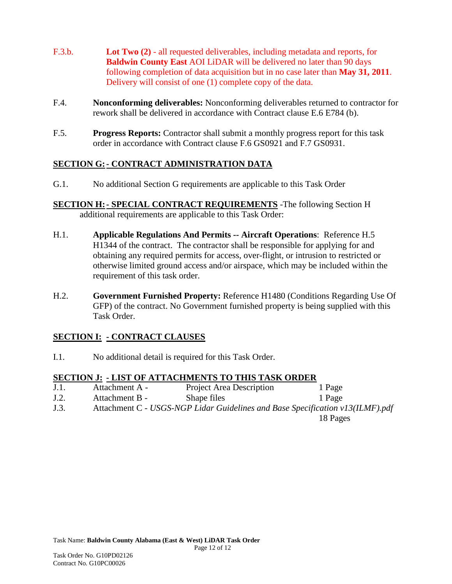- F.3.b. **Lot Two (2)** all requested deliverables, including metadata and reports, for **Baldwin County East** AOI LiDAR will be delivered no later than 90 days following completion of data acquisition but in no case later than **May 31, 2011**. Delivery will consist of one (1) complete copy of the data.
- F.4. **Nonconforming deliverables:** Nonconforming deliverables returned to contractor for rework shall be delivered in accordance with Contract clause E.6 E784 (b).
- F.5. **Progress Reports:** Contractor shall submit a monthly progress report for this task order in accordance with Contract clause F.6 GS0921 and F.7 GS0931.

# **SECTION G:- CONTRACT ADMINISTRATION DATA**

- G.1. No additional Section G requirements are applicable to this Task Order
- **SECTION H: SPECIAL CONTRACT REQUIREMENTS** -The following Section H additional requirements are applicable to this Task Order:
- H.1. **Applicable Regulations And Permits -- Aircraft Operations**: Reference H.5 H1344 of the contract. The contractor shall be responsible for applying for and obtaining any required permits for access, over-flight, or intrusion to restricted or otherwise limited ground access and/or airspace, which may be included within the requirement of this task order.
- H.2. **Government Furnished Property:** Reference H1480 (Conditions Regarding Use Of GFP) of the contract. No Government furnished property is being supplied with this Task Order.

## **SECTION I: - CONTRACT CLAUSES**

I.1. No additional detail is required for this Task Order.

## **SECTION J: - LIST OF ATTACHMENTS TO THIS TASK ORDER**

J.1. Attachment A - Project Area Description 1 Page J.2. Attachment B - Shape files 1 Page J.3. Attachment C - *USGS-NGP Lidar Guidelines and Base Specification v13(ILMF).pdf*

18 Pages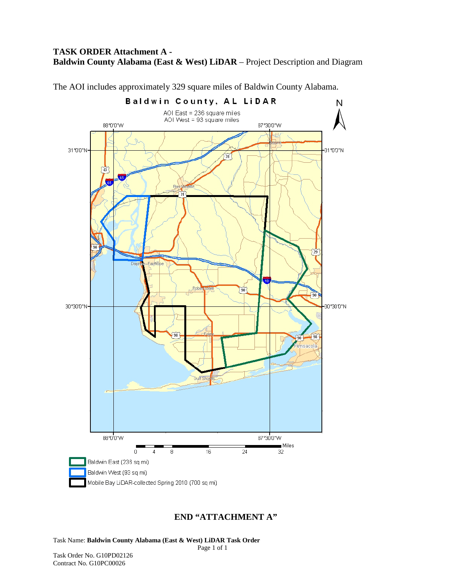#### **TASK ORDER Attachment A - Baldwin County Alabama (East & West) LiDAR** – Project Description and Diagram

The AOI includes approximately 329 square miles of Baldwin County Alabama.



## **END "ATTACHMENT A"**

Task Name: **Baldwin County Alabama (East & West) LiDAR Task Order**

Page 1 of 1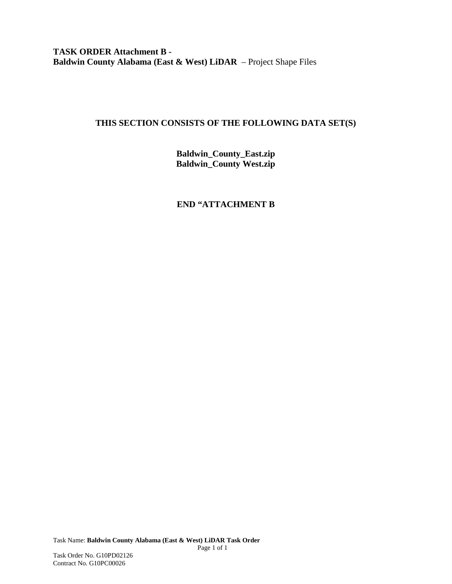**TASK ORDER Attachment B - Baldwin County Alabama (East & West) LiDAR** – Project Shape Files

#### **THIS SECTION CONSISTS OF THE FOLLOWING DATA SET(S)**

**Baldwin\_County\_East.zip Baldwin\_County West.zip**

## **END "ATTACHMENT B**